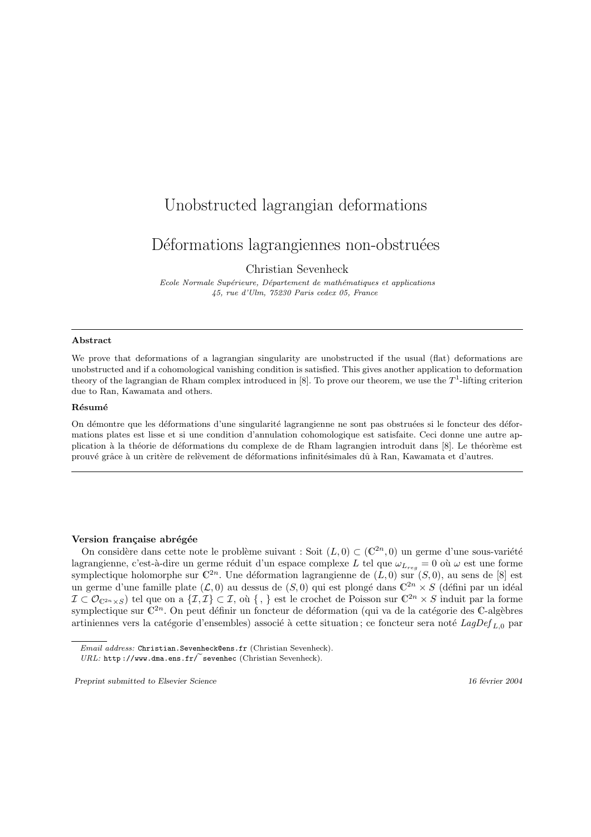# Unobstructed lagrangian deformations

## Déformations lagrangiennes non-obstruées

Christian Sevenheck

Ecole Normale Supérieure, Département de mathématiques et applications 45, rue d'Ulm, 75230 Paris cedex 05, France

#### Abstract

We prove that deformations of a lagrangian singularity are unobstructed if the usual (flat) deformations are unobstructed and if a cohomological vanishing condition is satisfied. This gives another application to deformation theory of the lagrangian de Rham complex introduced in [8]. To prove our theorem, we use the  $T^1$ -lifting criterion due to Ran, Kawamata and others.

### Résumé

On démontre que les déformations d'une singularité lagrangienne ne sont pas obstruées si le foncteur des déformations plates est lisse et si une condition d'annulation cohomologique est satisfaite. Ceci donne une autre application à la théorie de déformations du complexe de de Rham lagrangien introduit dans [8]. Le théorème est prouvé grâce à un critère de relèvement de déformations infinitésimales dû à Ran, Kawamata et d'autres.

### Version française abrégée

On considère dans cette note le problème suivant : Soit  $(L, 0) \subset (\mathbb{C}^{2n}, 0)$  un germe d'une sous-variété lagrangienne, c'est-à-dire un germe réduit d'un espace complexe L tel que  $\omega_{L_{reg}} = 0$  où  $\omega$  est une forme symplectique holomorphe sur  $\mathbb{C}^{2n}$ . Une déformation lagrangienne de  $(L, 0)$  sur  $(S, 0)$ , au sens de [8] est un germe d'une famille plate  $(\mathcal{L}, 0)$  au dessus de  $(S, 0)$  qui est plongé dans  $\mathbb{C}^{2n} \times S$  (défini par un idéal  $\mathcal{I} \subset \mathcal{O}_{\mathbb{C}^{2n} \times S}$ ) tel que on a  $\{\mathcal{I},\mathcal{I}\} \subset \mathcal{I}$ , où  $\{\ ,\ \}$  est le crochet de Poisson sur  $\mathbb{C}^{2n} \times S$  induit par la forme symplectique sur  $\mathbb{C}^{2n}$ . On peut définir un foncteur de déformation (qui va de la catégorie des C-algèbres artiniennes vers la catégorie d'ensembles) associé à cette situation ; ce foncteur sera noté  $LagDef_{L,0}$  par

Email address: Christian.Sevenheck@ens.fr (Christian Sevenheck).

 $URL: \text{http://www.dma.ens.fr/}$ sevenhec (Christian Sevenheck).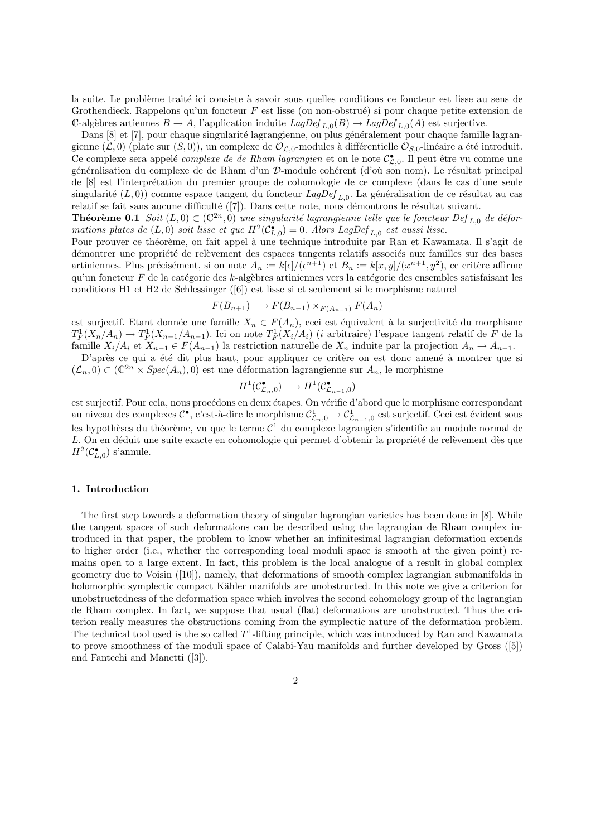la suite. Le problème traité ici consiste à savoir sous quelles conditions ce foncteur est lisse au sens de Grothendieck. Rappelons qu'un foncteur  $F$  est lisse (ou non-obstrué) si pour chaque petite extension de C-algèbres artiennes  $B \to A$ , l'application induite  $LagDef_{L,0}(B) \to LagDef_{L,0}(A)$  est surjective.

Dans [8] et [7], pour chaque singularité lagrangienne, ou plus généralement pour chaque famille lagrangienne  $(\mathcal{L}, 0)$  (plate sur  $(S, 0)$ ), un complexe de  $\mathcal{O}_{\mathcal{L},0}$ -modules à différentielle  $\mathcal{O}_{S,0}$ -linéaire a été introduit. Ce complexe sera appelé *complexe de de Rham lagrangien* et on le note  $\mathcal{C}_{\mathcal{L},0}^{\bullet}$ . Il peut être vu comme une généralisation du complexe de de Rham d'un D-module cohérent (d'où son nom). Le résultat principal de [8] est l'interpr´etation du premier groupe de cohomologie de ce complexe (dans le cas d'une seule singularité  $(L, 0)$ ) comme espace tangent du foncteur  $LagDef_{L,0}$ . La généralisation de ce résultat au cas relatif se fait sans aucune difficulté ([7]). Dans cette note, nous démontrons le résultat suivant.

**Théorème 0.1** Soit  $(L, 0) \subset (\mathbb{C}^{2n}, 0)$  une singularité lagrangienne telle que le foncteur Def<sub>L,0</sub> de déformations plates de  $(L,0)$  soit lisse et que  $H^2(\mathcal{C}_{L,0}^{\bullet}) = 0$ . Alors LagDef<sub>L,0</sub> est aussi lisse.

Pour prouver ce théorème, on fait appel à une technique introduite par Ran et Kawamata. Il s'agit de démontrer une propriété de relèvement des espaces tangents relatifs associés aux familles sur des bases artiniennes. Plus précisément, si on note  $A_n := k[\epsilon]/(\epsilon^{n+1})$  et  $B_n := k[x, y]/(x^{n+1}, y^2)$ , ce critère affirme qu'un foncteur  $F$  de la catégorie des k-algèbres artiniennes vers la catégorie des ensembles satisfaisant les conditions H1 et H2 de Schlessinger ([6]) est lisse si et seulement si le morphisme naturel

$$
F(B_{n+1}) \longrightarrow F(B_{n-1}) \times_{F(A_{n-1})} F(A_n)
$$

est surjectif. Etant donnée une famille  $X_n \in F(A_n)$ , ceci est équivalent à la surjectivité du morphisme  $T_F^1(X_n/A_n) \to T_F^1(X_{n-1}/A_{n-1})$ . Ici on note  $T_F^1(X_i/A_i)$  (*i* arbitraire) l'espace tangent relatif de F de la famille  $X_i/A_i$  et  $X_{n-1} \in F(A_{n-1})$  la restriction naturelle de  $X_n$  induite par la projection  $A_n \to A_{n-1}$ .

D'après ce qui a été dit plus haut, pour appliquer ce critère on est donc amené à montrer que si  $(\mathcal{L}_n, 0) \subset (\mathbb{C}^{2n} \times Spec(A_n), 0)$  est une déformation lagrangienne sur  $A_n$ , le morphisme

$$
H^1(\mathcal{C}^\bullet_{\mathcal{L}_n,0})\longrightarrow H^1(\mathcal{C}^\bullet_{\mathcal{L}_{n-1},0})
$$

est surjectif. Pour cela, nous procédons en deux étapes. On vérifie d'abord que le morphisme correspondant au niveau des complexes  $C^{\bullet}$ , c'est-à-dire le morphisme  $\mathcal{C}^1_{\mathcal{L}_n,0} \to \mathcal{C}^1_{\mathcal{L}_{n-1},0}$  est surjectif. Ceci est évident sous les hypothèses du théorème, vu que le terme  $\mathcal{C}^1$  du complexe lagrangien s'identifie au module normal de L. On en déduit une suite exacte en cohomologie qui permet d'obtenir la propriété de relèvement dès que  $H^2(\mathcal{C}_{L,0}^{\bullet})$  s'annule.

### 1. Introduction

The first step towards a deformation theory of singular lagrangian varieties has been done in [8]. While the tangent spaces of such deformations can be described using the lagrangian de Rham complex introduced in that paper, the problem to know whether an infinitesimal lagrangian deformation extends to higher order (i.e., whether the corresponding local moduli space is smooth at the given point) remains open to a large extent. In fact, this problem is the local analogue of a result in global complex geometry due to Voisin ([10]), namely, that deformations of smooth complex lagrangian submanifolds in holomorphic symplectic compact Kähler manifolds are unobstructed. In this note we give a criterion for unobstructedness of the deformation space which involves the second cohomology group of the lagrangian de Rham complex. In fact, we suppose that usual (flat) deformations are unobstructed. Thus the criterion really measures the obstructions coming from the symplectic nature of the deformation problem. The technical tool used is the so called  $T^1$ -lifting principle, which was introduced by Ran and Kawamata to prove smoothness of the moduli space of Calabi-Yau manifolds and further developed by Gross ([5]) and Fantechi and Manetti ([3]).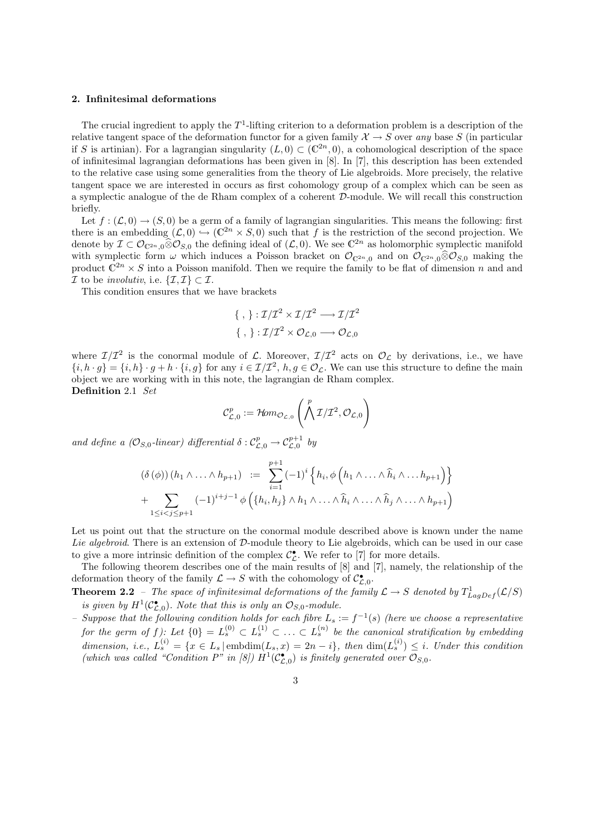### 2. Infinitesimal deformations

The crucial ingredient to apply the  $T^1$ -lifting criterion to a deformation problem is a description of the relative tangent space of the deformation functor for a given family  $\mathcal{X} \to S$  over any base S (in particular if S is artinian). For a lagrangian singularity  $(L, 0) \subset (\mathbb{C}^{2n}, 0)$ , a cohomological description of the space of infinitesimal lagrangian deformations has been given in [8]. In [7], this description has been extended to the relative case using some generalities from the theory of Lie algebroids. More precisely, the relative tangent space we are interested in occurs as first cohomology group of a complex which can be seen as a symplectic analogue of the de Rham complex of a coherent D-module. We will recall this construction briefly.

Let  $f: (\mathcal{L}, 0) \to (S, 0)$  be a germ of a family of lagrangian singularities. This means the following: first there is an embedding  $(\mathcal{L}, 0) \hookrightarrow (\mathbb{C}^{2n} \times S, 0)$  such that f is the restriction of the second projection. We denote by  $\mathcal{I} \subset \mathcal{O}_{\mathbb{C}^{2n},0} \widehat{\otimes} \mathcal{O}_{S,0}$  the defining ideal of  $(\mathcal{L},0)$ . We see  $\mathbb{C}^{2n}$  as holomorphic symplectic manifold with symplectic form  $\omega$  which induces a Poisson bracket on  $\mathcal{O}_{C^{2n},0}$  and on  $\mathcal{O}_{C^{2n},0}\hat{\otimes}\mathcal{O}_{S,0}$  making the product  $\mathbb{C}^{2n} \times S$  into a Poisson manifold. Then we require the family to be flat of dimension n and and  $\mathcal I$  to be *involutiv*, i.e.  $\{\mathcal I,\mathcal I\}\subset\mathcal I$ .

This condition ensures that we have brackets

$$
\{ \ , \ \} : \mathcal{I}/\mathcal{I}^2 \times \mathcal{I}/\mathcal{I}^2 \longrightarrow \mathcal{I}/\mathcal{I}^2
$$

$$
\{ \ , \ \} : \mathcal{I}/\mathcal{I}^2 \times \mathcal{O}_{\mathcal{L},0} \longrightarrow \mathcal{O}_{\mathcal{L},0}
$$

where  $\mathcal{I}/\mathcal{I}^2$  is the conormal module of  $\mathcal{L}$ . Moreover,  $\mathcal{I}/\mathcal{I}^2$  acts on  $\mathcal{O}_{\mathcal{L}}$  by derivations, i.e., we have  $\{i, h \cdot g\} = \{i, h\} \cdot g + h \cdot \{i, g\}$  for any  $i \in \mathcal{I}/\mathcal{I}^2$ ,  $h, g \in \mathcal{O}_\mathcal{L}$ . We can use this structure to define the main object we are working with in this note, the lagrangian de Rham complex. Definition 2.1 Set !<br>}

$$
\mathcal{C}^p_{\mathcal{L},0} := \mathcal{H}om_{\mathcal{O}_{\mathcal{L},0}}\left(\bigwedge^p \mathcal{I}/\mathcal{I}^2, \mathcal{O}_{\mathcal{L},0}\right)
$$

and define a  $(\mathcal{O}_{S,0}\text{-}linear)$  differential  $\delta:\mathcal{C}_{\mathcal{L},0}^p\to\mathcal{C}_{\mathcal{L},0}^{p+1}$  by

$$
(\delta(\phi))(h_1 \wedge \ldots \wedge h_{p+1}) := \sum_{i=1}^{p+1} (-1)^i \left\{ h_i, \phi\left(h_1 \wedge \ldots \wedge \widehat{h}_i \wedge \ldots h_{p+1}\right) \right\}
$$
  
+ 
$$
\sum_{1 \leq i < j \leq p+1} (-1)^{i+j-1} \phi\left(\left\{h_i, h_j\right\} \wedge h_1 \wedge \ldots \wedge \widehat{h}_i \wedge \ldots \wedge \widehat{h}_j \wedge \ldots \wedge h_{p+1}\right)
$$

Let us point out that the structure on the conormal module described above is known under the name Lie algebroid. There is an extension of D-module theory to Lie algebroids, which can be used in our case to give a more intrinsic definition of the complex  $\mathcal{C}_{\mathcal{L}}^{\bullet}$ . We refer to [7] for more details.

The following theorem describes one of the main results of [8] and [7], namely, the relationship of the deformation theory of the family  $\mathcal{L} \to S$  with the cohomology of  $\mathcal{C}_{\mathcal{L},0}^{\bullet}$ .

**Theorem 2.2** – The space of infinitesimal deformations of the family  $\mathcal{L} \to S$  denoted by  $T^1_{LagDef}(\mathcal{L}/S)$ is given by  $H^1(\mathcal{C}_{\mathcal{L},0}^{\bullet})$ . Note that this is only an  $\mathcal{O}_{S,0}$ -module.

- Suppose that the following condition holds for each fibre  $L_s := f^{-1}(s)$  (here we choose a representative for the germ of f): Let  $\{0\} = L_s^{(0)} \subset L_s^{(1)} \subset \ldots \subset L_s^{(n)}$  be the canonical stratification by embedding dimension, i.e.,  $L_s^{(i)} = \{x \in L_s | \text{embdim}(L_s, x) = 2n - i\}$ , then  $\dim(L_s^{(i)}) \leq i$ . Under this condition (which was called "Condition P" in [8])  $H^1(\mathcal{C}_{\mathcal{L},0}^{\bullet})$  is finitely generated over  $\mathcal{O}_{S,0}$ .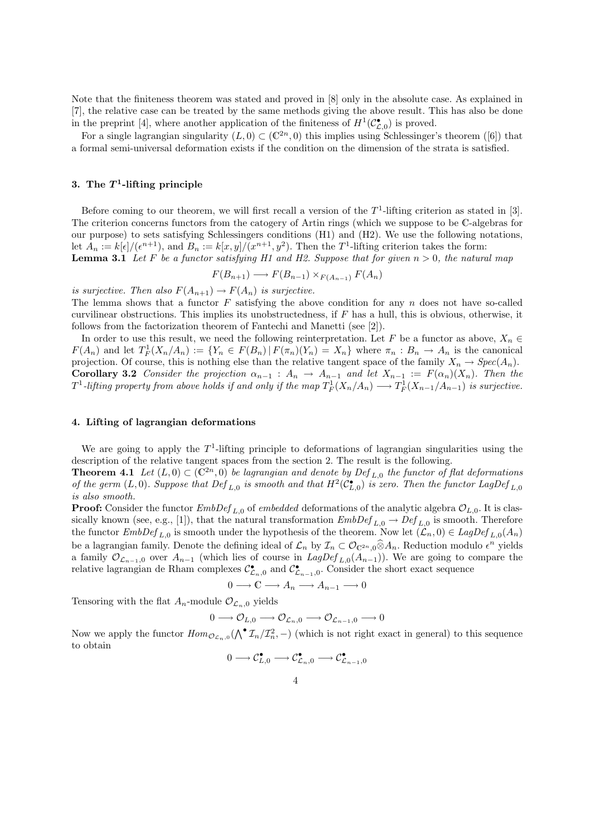Note that the finiteness theorem was stated and proved in [8] only in the absolute case. As explained in [7], the relative case can be treated by the same methods giving the above result. This has also be done in the preprint [4], where another application of the finiteness of  $H^1(\mathcal{C}_{\mathcal{L},0}^{\bullet})$  is proved.

For a single lagrangian singularity  $(L, 0) \subset (\mathbb{C}^{2n}, 0)$  this implies using Schlessinger's theorem ([6]) that a formal semi-universal deformation exists if the condition on the dimension of the strata is satisfied.

## 3. The  $T^1$ -lifting principle

Before coming to our theorem, we will first recall a version of the  $T^1$ -lifting criterion as stated in [3]. The criterion concerns functors from the catogery of Artin rings (which we suppose to be C-algebras for our purpose) to sets satisfying Schlessingers conditions (H1) and (H2). We use the following notations, let  $A_n := k[\epsilon]/(\epsilon^{n+1}),$  and  $B_n := k[x, y]/(x^{n+1}, y^2)$ . Then the T<sup>1</sup>-lifting criterion takes the form: **Lemma 3.1** Let F be a functor satisfying H1 and H2. Suppose that for given  $n > 0$ , the natural map

$$
F(B_{n+1}) \longrightarrow F(B_{n-1}) \times_{F(A_{n-1})} F(A_n)
$$

is surjective. Then also  $F(A_{n+1}) \to F(A_n)$  is surjective.

The lemma shows that a functor  $F$  satisfying the above condition for any  $n$  does not have so-called curvilinear obstructions. This implies its unobstructedness, if  $F$  has a hull, this is obvious, otherwise, it follows from the factorization theorem of Fantechi and Manetti (see [2]).

In order to use this result, we need the following reinterpretation. Let F be a functor as above,  $X_n \in$  $F(A_n)$  and let  $T_F^1(X_n/A_n) := \{ Y_n \in F(B_n) | F(\pi_n)(Y_n) = X_n \}$  where  $\pi_n : B_n \to A_n$  is the canonical projection. Of course, this is nothing else than the relative tangent space of the family  $X_n \to Spec(A_n)$ . Corollary 3.2 Consider the projection  $\alpha_{n-1}$  :  $A_n \to A_{n-1}$  and let  $X_{n-1} := F(\alpha_n)(X_n)$ . Then the  $T^1$ -lifting property from above holds if and only if the map  $T_F^1(X_n/A_n) \longrightarrow T_F^1(X_{n-1}/A_{n-1})$  is surjective.

#### 4. Lifting of lagrangian deformations

We are going to apply the  $T<sup>1</sup>$ -lifting principle to deformations of lagrangian singularities using the description of the relative tangent spaces from the section 2. The result is the following.

**Theorem 4.1** Let  $(L, 0) \subset (\mathbb{C}^{2n}, 0)$  be lagrangian and denote by Def<sub>L,0</sub> the functor of flat deformations of the germ  $(L,0)$ . Suppose that  $Def_{L,0}$  is smooth and that  $H^2(\mathcal{C}_{L,0}^{\bullet})$  is zero. Then the functor LagDef<sub>L,0</sub> is also smooth.

**Proof:** Consider the functor  $EmbDef_{L,0}$  of embedded deformations of the analytic algebra  $\mathcal{O}_{L,0}$ . It is classically known (see, e.g., [1]), that the natural transformation  $EmbDef_{L,0} \to Def_{L,0}$  is smooth. Therefore the functor  $EmbDef_{L,0}$  is smooth under the hypothesis of the theorem. Now let  $(\mathcal{L}_n,0) \in \text{LagDef}_{L,0}(A_n)$ be a lagrangian family. Denote the defining ideal of  $\mathcal{L}_n$  by  $\mathcal{I}_n \subset \mathcal{O}_{\mathbb{C}^{2n},0} \widehat{\otimes} A_n$ . Reduction modulo  $\epsilon^n$  yields a family  $\mathcal{O}_{\mathcal{L}_{n-1},0}$  over  $A_{n-1}$  (which lies of course in  $LagDef_{L,0}(A_{n-1})$ ). We are going to compare the relative lagrangian de Rham complexes  $\mathcal{C}_{\mathcal{L}_n,0}^{\bullet}$  and  $\mathcal{C}_{\mathcal{L}_{n-1},0}^{\bullet}$ . Consider the short exact sequence

$$
0 \longrightarrow \mathbb{C} \longrightarrow A_n \longrightarrow A_{n-1} \longrightarrow 0
$$

Tensoring with the flat  $A_n$ -module  $\mathcal{O}_{\mathcal{L}_n,0}$  yields

$$
0 \longrightarrow \mathcal{O}_{L,0} \longrightarrow \mathcal{O}_{\mathcal{L}_n,0} \longrightarrow \mathcal{O}_{\mathcal{L}_{n-1},0} \longrightarrow 0
$$

Now we apply the functor  $Hom_{\mathcal{O}_{\mathcal{L}_n,0}}(\bigwedge^{\bullet} \mathcal{I}_n/\mathcal{I}_n^2,-)$  (which is not right exact in general) to this sequence to obtain

$$
0 \longrightarrow \mathcal{C}^{\bullet}_{L,0} \longrightarrow \mathcal{C}^{\bullet}_{\mathcal{L}_n,0} \longrightarrow \mathcal{C}^{\bullet}_{\mathcal{L}_{n-1},0}
$$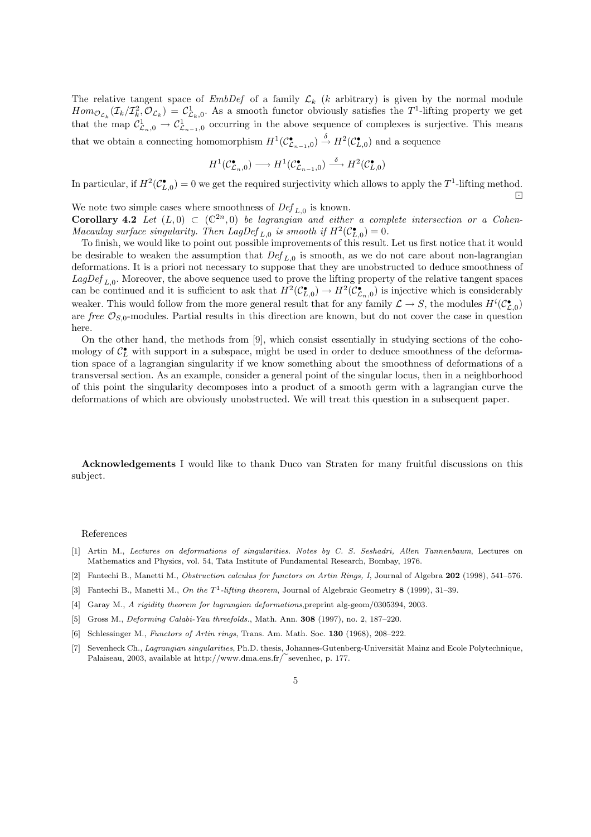The relative tangent space of  $EmbDef$  of a family  $\mathcal{L}_k$  (k arbitrary) is given by the normal module  $Hom_{\mathcal{O}_{\mathcal{L}_k}}(\mathcal{I}_k/\mathcal{I}_k^2,\mathcal{O}_{\mathcal{L}_k}) = \mathcal{C}_{\mathcal{L}_k,0}^1$ . As a smooth functor obviously satisfies the  $T^1$ -lifting property we get that the map  $\mathcal{C}_{\mathcal{L}_n,0}^1 \to \mathcal{C}_{\mathcal{L}_{n-1},0}^1$  occurring in the above sequence of complexes is surjective. This means that we obtain a connecting homomorphism  $H^1(\mathcal{C}^\bullet_{\mathcal{L}_{n-1},0}) \stackrel{\delta}{\to} H^2(\mathcal{C}^\bullet_{L,0})$  and a sequence

$$
H^1(\mathcal{C}^\bullet_{\mathcal{L}_n,0})\longrightarrow H^1(\mathcal{C}^\bullet_{\mathcal{L}_{n-1},0})\stackrel{\delta}{\longrightarrow} H^2(\mathcal{C}^\bullet_{L,0})
$$

In particular, if  $H^2(\mathcal{C}_{L,0}^{\bullet}) = 0$  we get the required surjectivity which allows to apply the  $T^1$ -lifting method.  $\boxed{\cdot}$ 

We note two simple cases where smoothness of  $Def_{L,0}$  is known. **Corollary 4.2** Let  $(L, 0) \subset (\mathbb{C}^{2n}, 0)$  be lagrangian and either a complete intersection or a Cohen-Macaulay surface singularity. Then LagDef<sub>L,0</sub> is smooth if  $H^2(\mathcal{C}_{L,0}^{\bullet}) = 0$ .

To finish, we would like to point out possible improvements of this result. Let us first notice that it would be desirable to weaken the assumption that  $Def_{L,0}$  is smooth, as we do not care about non-lagrangian deformations. It is a priori not necessary to suppose that they are unobstructed to deduce smoothness of  $LagDef_{L,0}$ . Moreover, the above sequence used to prove the lifting property of the relative tangent spaces can be continued and it is sufficient to ask that  $H^2(\mathcal{C}^\bullet_{L,0}) \to H^2(\mathcal{C}^\bullet_{L,n,0})$  is injective which is considerably weaker. This would follow from the more general result that for any family  $\mathcal{L} \to S$ , the modules  $H^{i}(\mathcal{C}_{\mathcal{L},0}^{\bullet})$ are free  $\mathcal{O}_{S,0}$ -modules. Partial results in this direction are known, but do not cover the case in question here.

On the other hand, the methods from [9], which consist essentially in studying sections of the cohomology of  $\mathcal{C}_L^{\bullet}$  with support in a subspace, might be used in order to deduce smoothness of the deformation space of a lagrangian singularity if we know something about the smoothness of deformations of a transversal section. As an example, consider a general point of the singular locus, then in a neighborhood of this point the singularity decomposes into a product of a smooth germ with a lagrangian curve the deformations of which are obviously unobstructed. We will treat this question in a subsequent paper.

Acknowledgements I would like to thank Duco van Straten for many fruitful discussions on this subject.

#### References

- [1] Artin M., Lectures on deformations of singularities. Notes by C. S. Seshadri, Allen Tannenbaum, Lectures on Mathematics and Physics, vol. 54, Tata Institute of Fundamental Research, Bombay, 1976.
- [2] Fantechi B., Manetti M., Obstruction calculus for functors on Artin Rings, I, Journal of Algebra 202 (1998), 541–576.
- [3] Fantechi B., Manetti M., On the  $T^1$ -lifting theorem, Journal of Algebraic Geometry 8 (1999), 31–39.
- [4] Garay M., A rigidity theorem for lagrangian deformations,preprint alg-geom/0305394, 2003.
- [5] Gross M., *Deforming Calabi-Yau threefolds.*, Math. Ann. **308** (1997), no. 2, 187–220.
- [6] Schlessinger M., Functors of Artin rings, Trans. Am. Math. Soc. 130 (1968), 208–222.
- [7] Sevenheck Ch., Lagrangian singularities, Ph.D. thesis, Johannes-Gutenberg-Universität Mainz and Ecole Polytechnique, Palaiseau, 2003, available at http://www.dma.ens.fr/ $\tilde{\phantom{a}}$ sevenhec, p. 177.